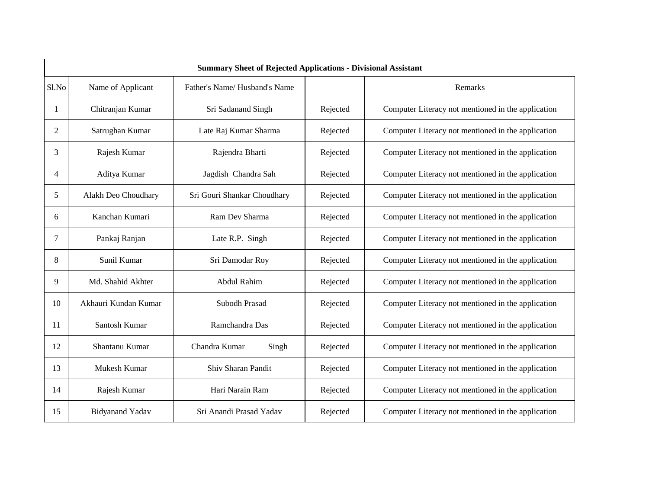|                |                        | <b>Summary Sheet of Rejected Applications - Divisional Assistant</b> |          |                                                    |
|----------------|------------------------|----------------------------------------------------------------------|----------|----------------------------------------------------|
| Sl.No          | Name of Applicant      | Father's Name/Husband's Name                                         |          | Remarks                                            |
| 1              | Chitranjan Kumar       | Sri Sadanand Singh                                                   | Rejected | Computer Literacy not mentioned in the application |
| 2              | Satrughan Kumar        | Late Raj Kumar Sharma                                                | Rejected | Computer Literacy not mentioned in the application |
| 3              | Rajesh Kumar           | Rajendra Bharti                                                      | Rejected | Computer Literacy not mentioned in the application |
| $\overline{4}$ | Aditya Kumar           | Jagdish Chandra Sah                                                  | Rejected | Computer Literacy not mentioned in the application |
| 5              | Alakh Deo Choudhary    | Sri Gouri Shankar Choudhary                                          | Rejected | Computer Literacy not mentioned in the application |
| 6              | Kanchan Kumari         | Ram Dev Sharma                                                       | Rejected | Computer Literacy not mentioned in the application |
| 7              | Pankaj Ranjan          | Late R.P. Singh                                                      | Rejected | Computer Literacy not mentioned in the application |
| 8              | Sunil Kumar            | Sri Damodar Roy                                                      | Rejected | Computer Literacy not mentioned in the application |
| 9              | Md. Shahid Akhter      | Abdul Rahim                                                          | Rejected | Computer Literacy not mentioned in the application |
| 10             | Akhauri Kundan Kumar   | Subodh Prasad                                                        | Rejected | Computer Literacy not mentioned in the application |
| 11             | Santosh Kumar          | Ramchandra Das                                                       | Rejected | Computer Literacy not mentioned in the application |
| 12             | Shantanu Kumar         | Chandra Kumar<br>Singh                                               | Rejected | Computer Literacy not mentioned in the application |
| 13             | Mukesh Kumar           | Shiv Sharan Pandit                                                   | Rejected | Computer Literacy not mentioned in the application |
| 14             | Rajesh Kumar           | Hari Narain Ram                                                      | Rejected | Computer Literacy not mentioned in the application |
| 15             | <b>Bidyanand Yadav</b> | Sri Anandi Prasad Yadav                                              | Rejected | Computer Literacy not mentioned in the application |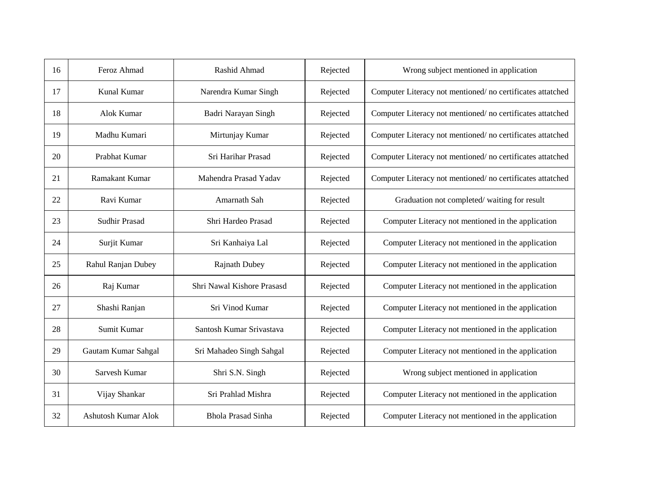| 16 | Feroz Ahmad           | Rashid Ahmad               | Rejected | Wrong subject mentioned in application                    |
|----|-----------------------|----------------------------|----------|-----------------------------------------------------------|
| 17 | Kunal Kumar           | Narendra Kumar Singh       | Rejected | Computer Literacy not mentioned/no certificates attatched |
| 18 | Alok Kumar            | Badri Narayan Singh        | Rejected | Computer Literacy not mentioned/no certificates attatched |
| 19 | Madhu Kumari          | Mirtunjay Kumar            | Rejected | Computer Literacy not mentioned/no certificates attatched |
| 20 | Prabhat Kumar         | Sri Harihar Prasad         | Rejected | Computer Literacy not mentioned/no certificates attatched |
| 21 | <b>Ramakant Kumar</b> | Mahendra Prasad Yadav      | Rejected | Computer Literacy not mentioned/no certificates attatched |
| 22 | Ravi Kumar            | Amarnath Sah               | Rejected | Graduation not completed/waiting for result               |
| 23 | Sudhir Prasad         | Shri Hardeo Prasad         | Rejected | Computer Literacy not mentioned in the application        |
| 24 | Surjit Kumar          | Sri Kanhaiya Lal           | Rejected | Computer Literacy not mentioned in the application        |
| 25 | Rahul Ranjan Dubey    | <b>Rajnath Dubey</b>       | Rejected | Computer Literacy not mentioned in the application        |
| 26 | Raj Kumar             | Shri Nawal Kishore Prasasd | Rejected | Computer Literacy not mentioned in the application        |
| 27 | Shashi Ranjan         | Sri Vinod Kumar            | Rejected | Computer Literacy not mentioned in the application        |
| 28 | Sumit Kumar           | Santosh Kumar Srivastava   | Rejected | Computer Literacy not mentioned in the application        |
| 29 | Gautam Kumar Sahgal   | Sri Mahadeo Singh Sahgal   | Rejected | Computer Literacy not mentioned in the application        |
| 30 | Sarvesh Kumar         | Shri S.N. Singh            | Rejected | Wrong subject mentioned in application                    |
| 31 | Vijay Shankar         | Sri Prahlad Mishra         | Rejected | Computer Literacy not mentioned in the application        |
| 32 | Ashutosh Kumar Alok   | <b>Bhola Prasad Sinha</b>  | Rejected | Computer Literacy not mentioned in the application        |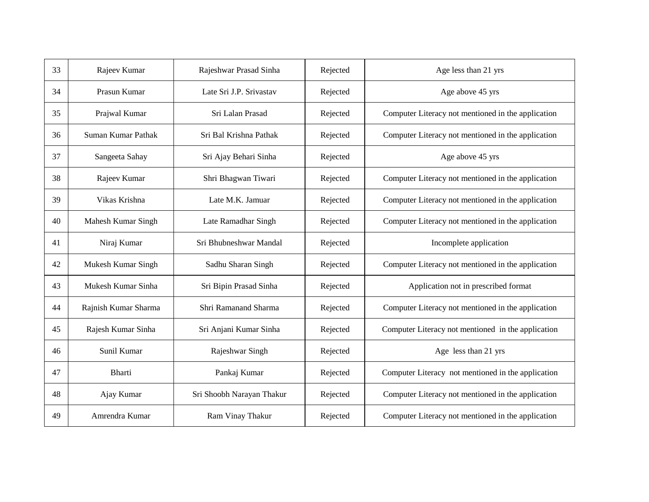| 33 | Rajeev Kumar         | Rajeshwar Prasad Sinha    | Rejected | Age less than 21 yrs                               |
|----|----------------------|---------------------------|----------|----------------------------------------------------|
| 34 | Prasun Kumar         | Late Sri J.P. Srivastav   | Rejected | Age above 45 yrs                                   |
| 35 | Prajwal Kumar        | Sri Lalan Prasad          | Rejected | Computer Literacy not mentioned in the application |
| 36 | Suman Kumar Pathak   | Sri Bal Krishna Pathak    | Rejected | Computer Literacy not mentioned in the application |
| 37 | Sangeeta Sahay       | Sri Ajay Behari Sinha     | Rejected | Age above 45 yrs                                   |
| 38 | Rajeev Kumar         | Shri Bhagwan Tiwari       | Rejected | Computer Literacy not mentioned in the application |
| 39 | Vikas Krishna        | Late M.K. Jamuar          | Rejected | Computer Literacy not mentioned in the application |
| 40 | Mahesh Kumar Singh   | Late Ramadhar Singh       | Rejected | Computer Literacy not mentioned in the application |
| 41 | Niraj Kumar          | Sri Bhubneshwar Mandal    | Rejected | Incomplete application                             |
| 42 | Mukesh Kumar Singh   | Sadhu Sharan Singh        | Rejected | Computer Literacy not mentioned in the application |
| 43 | Mukesh Kumar Sinha   | Sri Bipin Prasad Sinha    | Rejected | Application not in prescribed format               |
| 44 | Rajnish Kumar Sharma | Shri Ramanand Sharma      | Rejected | Computer Literacy not mentioned in the application |
| 45 | Rajesh Kumar Sinha   | Sri Anjani Kumar Sinha    | Rejected | Computer Literacy not mentioned in the application |
| 46 | Sunil Kumar          | Rajeshwar Singh           | Rejected | Age less than 21 yrs                               |
| 47 | <b>Bharti</b>        | Pankaj Kumar              | Rejected | Computer Literacy not mentioned in the application |
| 48 | Ajay Kumar           | Sri Shoobh Narayan Thakur | Rejected | Computer Literacy not mentioned in the application |
| 49 | Amrendra Kumar       | Ram Vinay Thakur          | Rejected | Computer Literacy not mentioned in the application |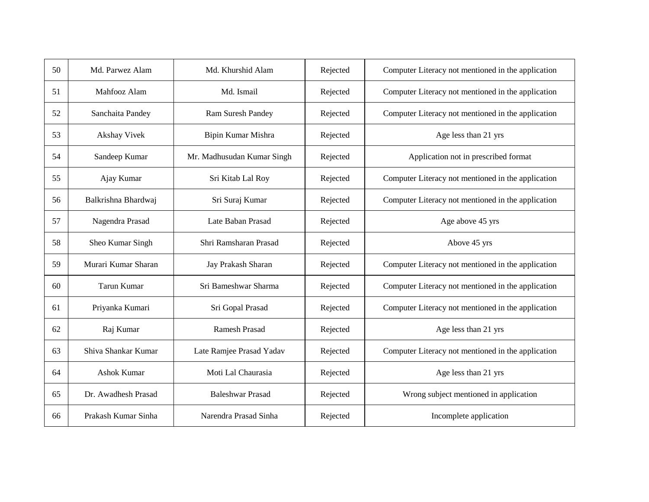| 50 | Md. Parwez Alam     | Md. Khurshid Alam          | Rejected | Computer Literacy not mentioned in the application |
|----|---------------------|----------------------------|----------|----------------------------------------------------|
| 51 | Mahfooz Alam        | Md. Ismail                 | Rejected | Computer Literacy not mentioned in the application |
| 52 | Sanchaita Pandey    | Ram Suresh Pandey          | Rejected | Computer Literacy not mentioned in the application |
| 53 | Akshay Vivek        | Bipin Kumar Mishra         | Rejected | Age less than 21 yrs                               |
| 54 | Sandeep Kumar       | Mr. Madhusudan Kumar Singh | Rejected | Application not in prescribed format               |
| 55 | Ajay Kumar          | Sri Kitab Lal Roy          | Rejected | Computer Literacy not mentioned in the application |
| 56 | Balkrishna Bhardwaj | Sri Suraj Kumar            | Rejected | Computer Literacy not mentioned in the application |
| 57 | Nagendra Prasad     | Late Baban Prasad          | Rejected | Age above 45 yrs                                   |
| 58 | Sheo Kumar Singh    | Shri Ramsharan Prasad      | Rejected | Above 45 yrs                                       |
| 59 | Murari Kumar Sharan | Jay Prakash Sharan         | Rejected | Computer Literacy not mentioned in the application |
| 60 | <b>Tarun Kumar</b>  | Sri Bameshwar Sharma       | Rejected | Computer Literacy not mentioned in the application |
| 61 | Priyanka Kumari     | Sri Gopal Prasad           | Rejected | Computer Literacy not mentioned in the application |
| 62 | Raj Kumar           | <b>Ramesh Prasad</b>       | Rejected | Age less than 21 yrs                               |
| 63 | Shiva Shankar Kumar | Late Ramjee Prasad Yadav   | Rejected | Computer Literacy not mentioned in the application |
| 64 | Ashok Kumar         | Moti Lal Chaurasia         | Rejected | Age less than 21 yrs                               |
| 65 | Dr. Awadhesh Prasad | <b>Baleshwar Prasad</b>    | Rejected | Wrong subject mentioned in application             |
| 66 | Prakash Kumar Sinha | Narendra Prasad Sinha      | Rejected | Incomplete application                             |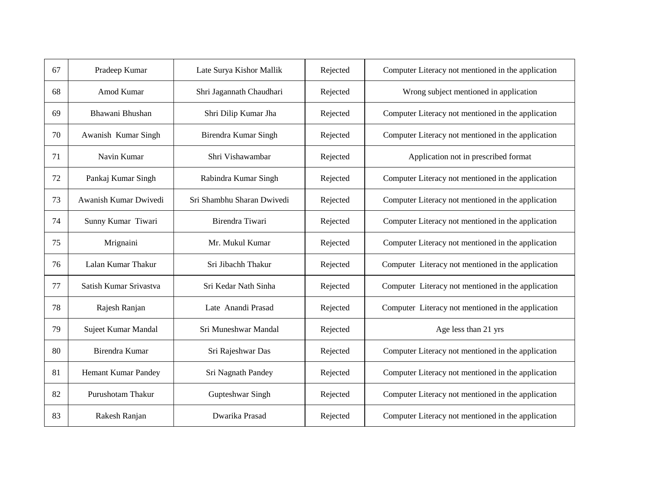| 67 | Pradeep Kumar          | Late Surya Kishor Mallik   | Rejected | Computer Literacy not mentioned in the application |
|----|------------------------|----------------------------|----------|----------------------------------------------------|
| 68 | Amod Kumar             | Shri Jagannath Chaudhari   | Rejected | Wrong subject mentioned in application             |
| 69 | Bhawani Bhushan        | Shri Dilip Kumar Jha       | Rejected | Computer Literacy not mentioned in the application |
| 70 | Awanish Kumar Singh    | Birendra Kumar Singh       | Rejected | Computer Literacy not mentioned in the application |
| 71 | Navin Kumar            | Shri Vishawambar           | Rejected | Application not in prescribed format               |
| 72 | Pankaj Kumar Singh     | Rabindra Kumar Singh       | Rejected | Computer Literacy not mentioned in the application |
| 73 | Awanish Kumar Dwivedi  | Sri Shambhu Sharan Dwivedi | Rejected | Computer Literacy not mentioned in the application |
| 74 | Sunny Kumar Tiwari     | Birendra Tiwari            | Rejected | Computer Literacy not mentioned in the application |
| 75 | Mrignaini              | Mr. Mukul Kumar            | Rejected | Computer Literacy not mentioned in the application |
| 76 | Lalan Kumar Thakur     | Sri Jibachh Thakur         | Rejected | Computer Literacy not mentioned in the application |
| 77 | Satish Kumar Srivastva | Sri Kedar Nath Sinha       | Rejected | Computer Literacy not mentioned in the application |
| 78 | Rajesh Ranjan          | Late Anandi Prasad         | Rejected | Computer Literacy not mentioned in the application |
| 79 | Sujeet Kumar Mandal    | Sri Muneshwar Mandal       | Rejected | Age less than 21 yrs                               |
| 80 | Birendra Kumar         | Sri Rajeshwar Das          | Rejected | Computer Literacy not mentioned in the application |
| 81 | Hemant Kumar Pandey    | Sri Nagnath Pandey         | Rejected | Computer Literacy not mentioned in the application |
| 82 | Purushotam Thakur      | Gupteshwar Singh           | Rejected | Computer Literacy not mentioned in the application |
| 83 | Rakesh Ranjan          | Dwarika Prasad             | Rejected | Computer Literacy not mentioned in the application |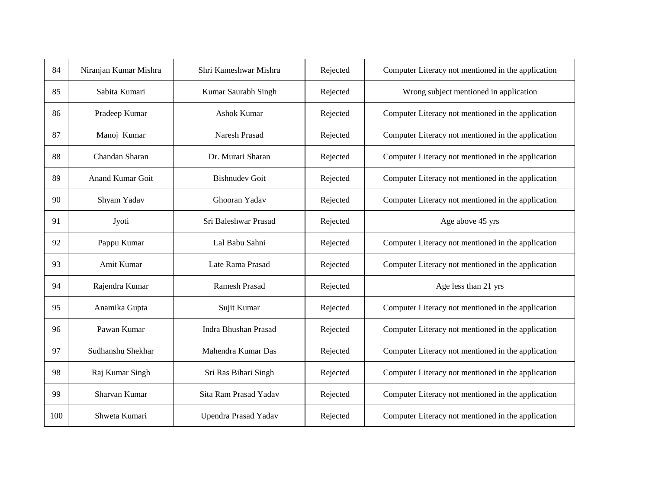| 84  | Niranjan Kumar Mishra   | Shri Kameshwar Mishra | Rejected | Computer Literacy not mentioned in the application |
|-----|-------------------------|-----------------------|----------|----------------------------------------------------|
| 85  | Sabita Kumari           | Kumar Saurabh Singh   | Rejected | Wrong subject mentioned in application             |
| 86  | Pradeep Kumar           | Ashok Kumar           | Rejected | Computer Literacy not mentioned in the application |
| 87  | Manoj Kumar             | Naresh Prasad         | Rejected | Computer Literacy not mentioned in the application |
| 88  | Chandan Sharan          | Dr. Murari Sharan     | Rejected | Computer Literacy not mentioned in the application |
| 89  | <b>Anand Kumar Goit</b> | <b>Bishnudev Goit</b> | Rejected | Computer Literacy not mentioned in the application |
| 90  | Shyam Yadav             | Ghooran Yadav         | Rejected | Computer Literacy not mentioned in the application |
| 91  | Jyoti                   | Sri Baleshwar Prasad  | Rejected | Age above 45 yrs                                   |
| 92  | Pappu Kumar             | Lal Babu Sahni        | Rejected | Computer Literacy not mentioned in the application |
| 93  | Amit Kumar              | Late Rama Prasad      | Rejected | Computer Literacy not mentioned in the application |
| 94  | Rajendra Kumar          | <b>Ramesh Prasad</b>  | Rejected | Age less than 21 yrs                               |
| 95  | Anamika Gupta           | Sujit Kumar           | Rejected | Computer Literacy not mentioned in the application |
| 96  | Pawan Kumar             | Indra Bhushan Prasad  | Rejected | Computer Literacy not mentioned in the application |
| 97  | Sudhanshu Shekhar       | Mahendra Kumar Das    | Rejected | Computer Literacy not mentioned in the application |
| 98  | Raj Kumar Singh         | Sri Ras Bihari Singh  | Rejected | Computer Literacy not mentioned in the application |
| 99  | Sharvan Kumar           | Sita Ram Prasad Yadav | Rejected | Computer Literacy not mentioned in the application |
| 100 | Shweta Kumari           | Upendra Prasad Yadav  | Rejected | Computer Literacy not mentioned in the application |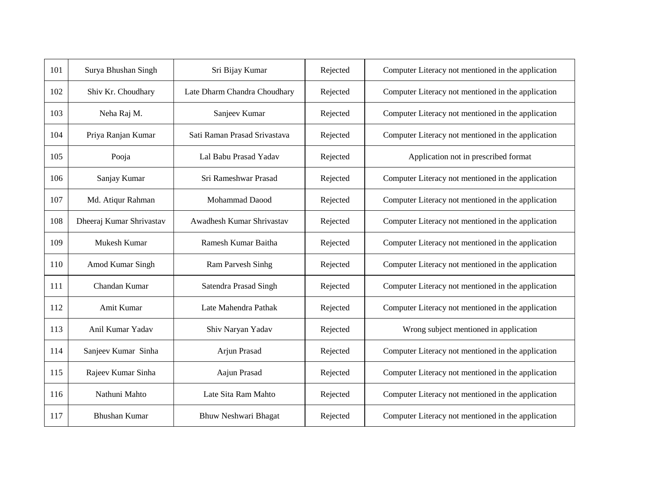| 101 | Surya Bhushan Singh      | Sri Bijay Kumar              | Rejected | Computer Literacy not mentioned in the application |
|-----|--------------------------|------------------------------|----------|----------------------------------------------------|
| 102 | Shiv Kr. Choudhary       | Late Dharm Chandra Choudhary | Rejected | Computer Literacy not mentioned in the application |
| 103 | Neha Raj M.              | Sanjeev Kumar                | Rejected | Computer Literacy not mentioned in the application |
| 104 | Priya Ranjan Kumar       | Sati Raman Prasad Srivastava | Rejected | Computer Literacy not mentioned in the application |
| 105 | Pooja                    | Lal Babu Prasad Yadav        | Rejected | Application not in prescribed format               |
| 106 | Sanjay Kumar             | Sri Rameshwar Prasad         | Rejected | Computer Literacy not mentioned in the application |
| 107 | Md. Atiqur Rahman        | Mohammad Daood               | Rejected | Computer Literacy not mentioned in the application |
| 108 | Dheeraj Kumar Shrivastav | Awadhesh Kumar Shrivastav    | Rejected | Computer Literacy not mentioned in the application |
| 109 | Mukesh Kumar             | Ramesh Kumar Baitha          | Rejected | Computer Literacy not mentioned in the application |
| 110 | Amod Kumar Singh         | <b>Ram Parvesh Sinhg</b>     | Rejected | Computer Literacy not mentioned in the application |
| 111 | Chandan Kumar            | Satendra Prasad Singh        | Rejected | Computer Literacy not mentioned in the application |
| 112 | Amit Kumar               | Late Mahendra Pathak         | Rejected | Computer Literacy not mentioned in the application |
| 113 | Anil Kumar Yadav         | Shiv Naryan Yadav            | Rejected | Wrong subject mentioned in application             |
| 114 | Sanjeev Kumar Sinha      | Arjun Prasad                 | Rejected | Computer Literacy not mentioned in the application |
| 115 | Rajeev Kumar Sinha       | Aajun Prasad                 | Rejected | Computer Literacy not mentioned in the application |
| 116 | Nathuni Mahto            | Late Sita Ram Mahto          | Rejected | Computer Literacy not mentioned in the application |
| 117 | <b>Bhushan Kumar</b>     | Bhuw Neshwari Bhagat         | Rejected | Computer Literacy not mentioned in the application |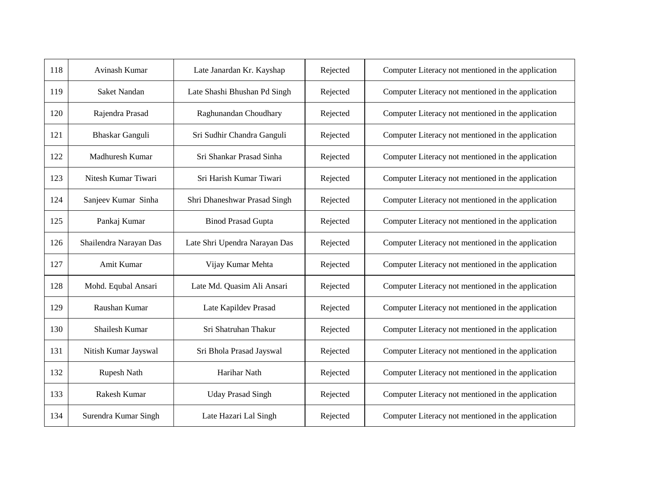| 118 | Avinash Kumar          | Late Janardan Kr. Kayshap     | Rejected | Computer Literacy not mentioned in the application |
|-----|------------------------|-------------------------------|----------|----------------------------------------------------|
| 119 | Saket Nandan           | Late Shashi Bhushan Pd Singh  | Rejected | Computer Literacy not mentioned in the application |
| 120 | Rajendra Prasad        | Raghunandan Choudhary         | Rejected | Computer Literacy not mentioned in the application |
| 121 | <b>Bhaskar Ganguli</b> | Sri Sudhir Chandra Ganguli    | Rejected | Computer Literacy not mentioned in the application |
| 122 | Madhuresh Kumar        | Sri Shankar Prasad Sinha      | Rejected | Computer Literacy not mentioned in the application |
| 123 | Nitesh Kumar Tiwari    | Sri Harish Kumar Tiwari       | Rejected | Computer Literacy not mentioned in the application |
| 124 | Sanjeev Kumar Sinha    | Shri Dhaneshwar Prasad Singh  | Rejected | Computer Literacy not mentioned in the application |
| 125 | Pankaj Kumar           | <b>Binod Prasad Gupta</b>     | Rejected | Computer Literacy not mentioned in the application |
| 126 | Shailendra Narayan Das | Late Shri Upendra Narayan Das | Rejected | Computer Literacy not mentioned in the application |
| 127 | Amit Kumar             | Vijay Kumar Mehta             | Rejected | Computer Literacy not mentioned in the application |
| 128 | Mohd. Equbal Ansari    | Late Md. Quasim Ali Ansari    | Rejected | Computer Literacy not mentioned in the application |
| 129 | Raushan Kumar          | Late Kapildev Prasad          | Rejected | Computer Literacy not mentioned in the application |
| 130 | Shailesh Kumar         | Sri Shatruhan Thakur          | Rejected | Computer Literacy not mentioned in the application |
| 131 | Nitish Kumar Jayswal   | Sri Bhola Prasad Jayswal      | Rejected | Computer Literacy not mentioned in the application |
| 132 | Rupesh Nath            | Harihar Nath                  | Rejected | Computer Literacy not mentioned in the application |
| 133 | Rakesh Kumar           | <b>Uday Prasad Singh</b>      | Rejected | Computer Literacy not mentioned in the application |
| 134 | Surendra Kumar Singh   | Late Hazari Lal Singh         | Rejected | Computer Literacy not mentioned in the application |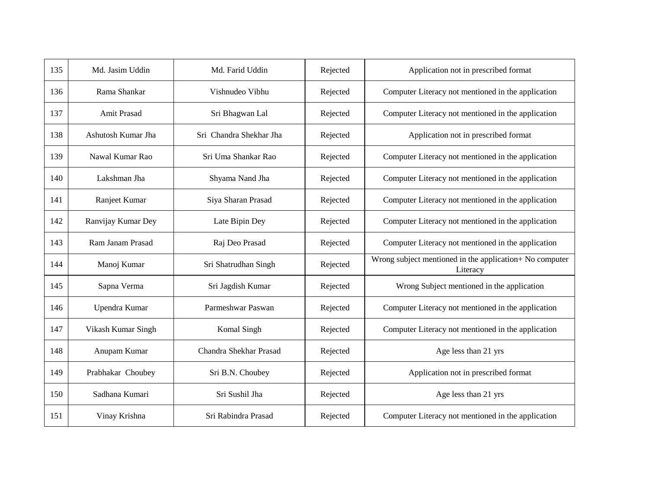| 135 | Md. Jasim Uddin    | Md. Farid Uddin         | Rejected | Application not in prescribed format                                |
|-----|--------------------|-------------------------|----------|---------------------------------------------------------------------|
| 136 | Rama Shankar       | Vishnudeo Vibhu         | Rejected | Computer Literacy not mentioned in the application                  |
| 137 | Amit Prasad        | Sri Bhagwan Lal         | Rejected | Computer Literacy not mentioned in the application                  |
| 138 | Ashutosh Kumar Jha | Sri Chandra Shekhar Jha | Rejected | Application not in prescribed format                                |
| 139 | Nawal Kumar Rao    | Sri Uma Shankar Rao     | Rejected | Computer Literacy not mentioned in the application                  |
| 140 | Lakshman Jha       | Shyama Nand Jha         | Rejected | Computer Literacy not mentioned in the application                  |
| 141 | Ranjeet Kumar      | Siya Sharan Prasad      | Rejected | Computer Literacy not mentioned in the application                  |
| 142 | Ranvijay Kumar Dey | Late Bipin Dey          | Rejected | Computer Literacy not mentioned in the application                  |
| 143 | Ram Janam Prasad   | Raj Deo Prasad          | Rejected | Computer Literacy not mentioned in the application                  |
| 144 | Manoj Kumar        | Sri Shatrudhan Singh    | Rejected | Wrong subject mentioned in the application+ No computer<br>Literacy |
| 145 | Sapna Verma        | Sri Jagdish Kumar       | Rejected | Wrong Subject mentioned in the application                          |
| 146 | Upendra Kumar      | Parmeshwar Paswan       | Rejected | Computer Literacy not mentioned in the application                  |
| 147 | Vikash Kumar Singh | Komal Singh             | Rejected | Computer Literacy not mentioned in the application                  |
| 148 | Anupam Kumar       | Chandra Shekhar Prasad  | Rejected | Age less than 21 yrs                                                |
| 149 | Prabhakar Choubey  | Sri B.N. Choubey        | Rejected | Application not in prescribed format                                |
| 150 | Sadhana Kumari     | Sri Sushil Jha          | Rejected | Age less than 21 yrs                                                |
| 151 | Vinay Krishna      | Sri Rabindra Prasad     | Rejected | Computer Literacy not mentioned in the application                  |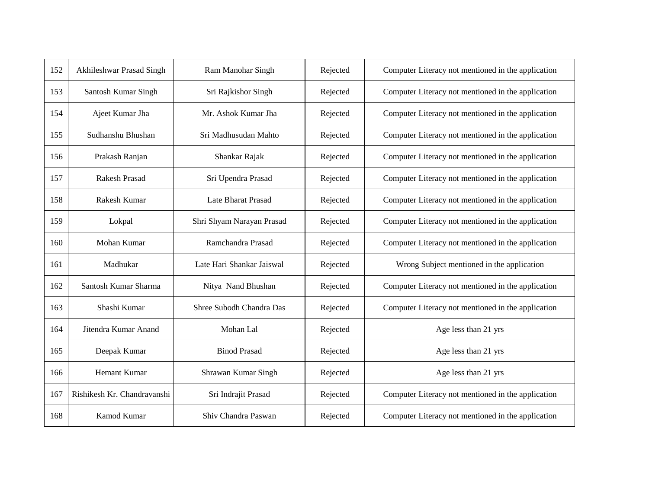| 152 | Akhileshwar Prasad Singh    | Ram Manohar Singh         | Rejected | Computer Literacy not mentioned in the application |
|-----|-----------------------------|---------------------------|----------|----------------------------------------------------|
| 153 | Santosh Kumar Singh         | Sri Rajkishor Singh       | Rejected | Computer Literacy not mentioned in the application |
| 154 | Ajeet Kumar Jha             | Mr. Ashok Kumar Jha       | Rejected | Computer Literacy not mentioned in the application |
| 155 | Sudhanshu Bhushan           | Sri Madhusudan Mahto      | Rejected | Computer Literacy not mentioned in the application |
| 156 | Prakash Ranjan              | Shankar Rajak             | Rejected | Computer Literacy not mentioned in the application |
| 157 | <b>Rakesh Prasad</b>        | Sri Upendra Prasad        | Rejected | Computer Literacy not mentioned in the application |
| 158 | Rakesh Kumar                | Late Bharat Prasad        | Rejected | Computer Literacy not mentioned in the application |
| 159 | Lokpal                      | Shri Shyam Narayan Prasad | Rejected | Computer Literacy not mentioned in the application |
| 160 | Mohan Kumar                 | Ramchandra Prasad         | Rejected | Computer Literacy not mentioned in the application |
| 161 | Madhukar                    | Late Hari Shankar Jaiswal | Rejected | Wrong Subject mentioned in the application         |
| 162 | Santosh Kumar Sharma        | Nitya Nand Bhushan        | Rejected | Computer Literacy not mentioned in the application |
| 163 | Shashi Kumar                | Shree Subodh Chandra Das  | Rejected | Computer Literacy not mentioned in the application |
| 164 | Jitendra Kumar Anand        | Mohan Lal                 | Rejected | Age less than 21 yrs                               |
| 165 | Deepak Kumar                | <b>Binod Prasad</b>       | Rejected | Age less than 21 yrs                               |
| 166 | Hemant Kumar                | Shrawan Kumar Singh       | Rejected | Age less than 21 yrs                               |
| 167 | Rishikesh Kr. Chandravanshi | Sri Indrajit Prasad       | Rejected | Computer Literacy not mentioned in the application |
| 168 | Kamod Kumar                 | Shiv Chandra Paswan       | Rejected | Computer Literacy not mentioned in the application |